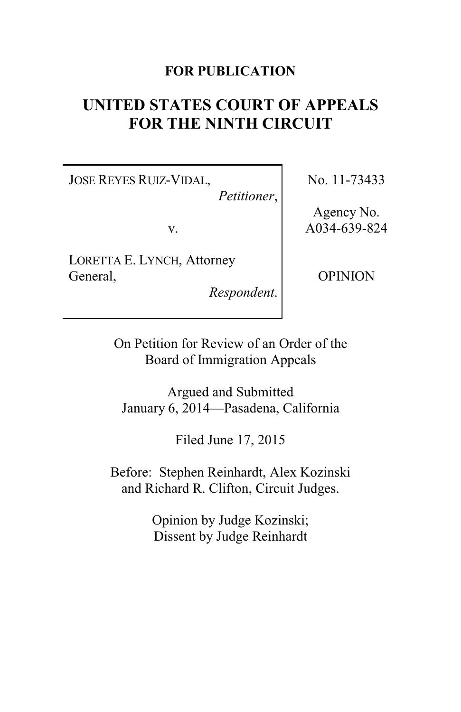# **FOR PUBLICATION**

# **UNITED STATES COURT OF APPEALS FOR THE NINTH CIRCUIT**

JOSE REYES RUIZ-VIDAL,

*Petitioner*,

v.

LORETTA E. LYNCH, Attorney General,

*Respondent*.

No. 11-73433

Agency No. A034-639-824

OPINION

On Petition for Review of an Order of the Board of Immigration Appeals

Argued and Submitted January 6, 2014—Pasadena, California

Filed June 17, 2015

Before: Stephen Reinhardt, Alex Kozinski and Richard R. Clifton, Circuit Judges.

> Opinion by Judge Kozinski; Dissent by Judge Reinhardt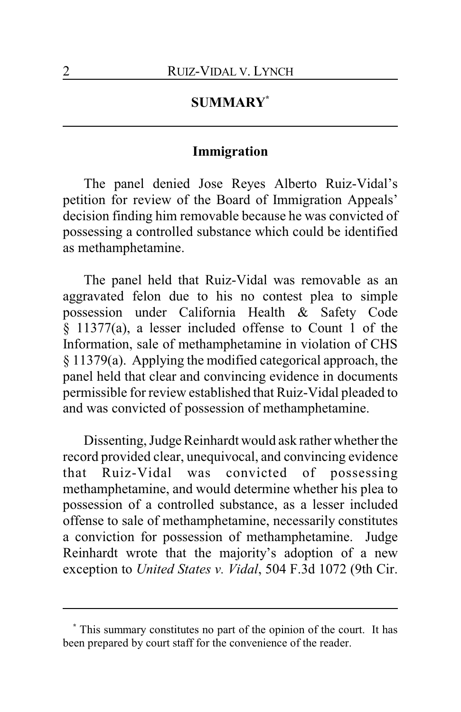# **SUMMARY\***

#### **Immigration**

The panel denied Jose Reyes Alberto Ruiz-Vidal's petition for review of the Board of Immigration Appeals' decision finding him removable because he was convicted of possessing a controlled substance which could be identified as methamphetamine.

The panel held that Ruiz-Vidal was removable as an aggravated felon due to his no contest plea to simple possession under California Health & Safety Code § 11377(a), a lesser included offense to Count 1 of the Information, sale of methamphetamine in violation of CHS § 11379(a). Applying the modified categorical approach, the panel held that clear and convincing evidence in documents permissible for review established that Ruiz-Vidal pleaded to and was convicted of possession of methamphetamine.

Dissenting, Judge Reinhardt would ask rather whether the record provided clear, unequivocal, and convincing evidence that Ruiz-Vidal was convicted of possessing methamphetamine, and would determine whether his plea to possession of a controlled substance, as a lesser included offense to sale of methamphetamine, necessarily constitutes a conviction for possession of methamphetamine. Judge Reinhardt wrote that the majority's adoption of a new exception to *United States v. Vidal*, 504 F.3d 1072 (9th Cir.

**<sup>\*</sup>** This summary constitutes no part of the opinion of the court. It has been prepared by court staff for the convenience of the reader.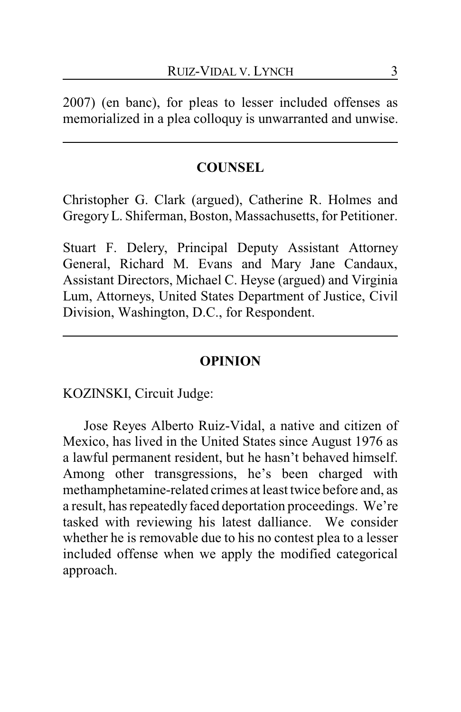2007) (en banc), for pleas to lesser included offenses as memorialized in a plea colloquy is unwarranted and unwise.

#### **COUNSEL**

Christopher G. Clark (argued), Catherine R. Holmes and GregoryL. Shiferman, Boston, Massachusetts, for Petitioner.

Stuart F. Delery, Principal Deputy Assistant Attorney General, Richard M. Evans and Mary Jane Candaux, Assistant Directors, Michael C. Heyse (argued) and Virginia Lum, Attorneys, United States Department of Justice, Civil Division, Washington, D.C., for Respondent.

#### **OPINION**

KOZINSKI, Circuit Judge:

Jose Reyes Alberto Ruiz-Vidal, a native and citizen of Mexico, has lived in the United States since August 1976 as a lawful permanent resident, but he hasn't behaved himself. Among other transgressions, he's been charged with methamphetamine-related crimes at least twice before and, as a result, has repeatedly faced deportation proceedings. We're tasked with reviewing his latest dalliance. We consider whether he is removable due to his no contest plea to a lesser included offense when we apply the modified categorical approach.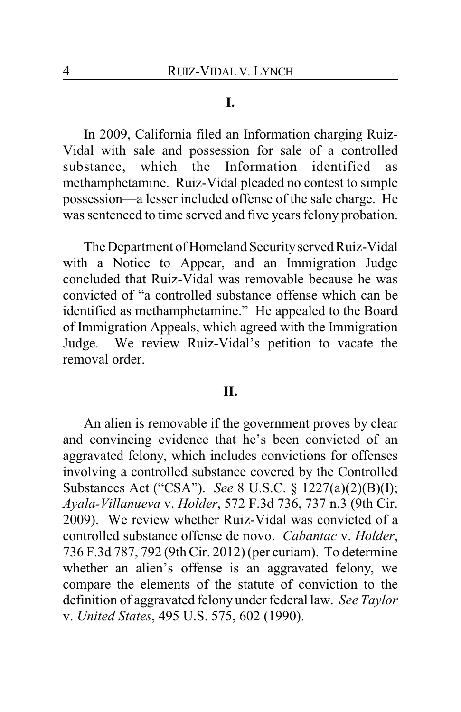### **I.**

In 2009, California filed an Information charging Ruiz-Vidal with sale and possession for sale of a controlled substance, which the Information identified as methamphetamine. Ruiz-Vidal pleaded no contest to simple possession—a lesser included offense of the sale charge. He was sentenced to time served and five years felony probation.

The Department of Homeland Securityserved Ruiz-Vidal with a Notice to Appear, and an Immigration Judge concluded that Ruiz-Vidal was removable because he was convicted of "a controlled substance offense which can be identified as methamphetamine." He appealed to the Board of Immigration Appeals, which agreed with the Immigration Judge. We review Ruiz-Vidal's petition to vacate the removal order.

#### **II.**

An alien is removable if the government proves by clear and convincing evidence that he's been convicted of an aggravated felony, which includes convictions for offenses involving a controlled substance covered by the Controlled Substances Act ("CSA"). *See* 8 U.S.C. § 1227(a)(2)(B)(I); *Ayala-Villanueva* v. *Holder*, 572 F.3d 736, 737 n.3 (9th Cir. 2009). We review whether Ruiz-Vidal was convicted of a controlled substance offense de novo. *Cabantac* v. *Holder*, 736 F.3d 787, 792 (9th Cir. 2012) (per curiam). To determine whether an alien's offense is an aggravated felony, we compare the elements of the statute of conviction to the definition of aggravated felony under federal law. *See Taylor* v. *United States*, 495 U.S. 575, 602 (1990).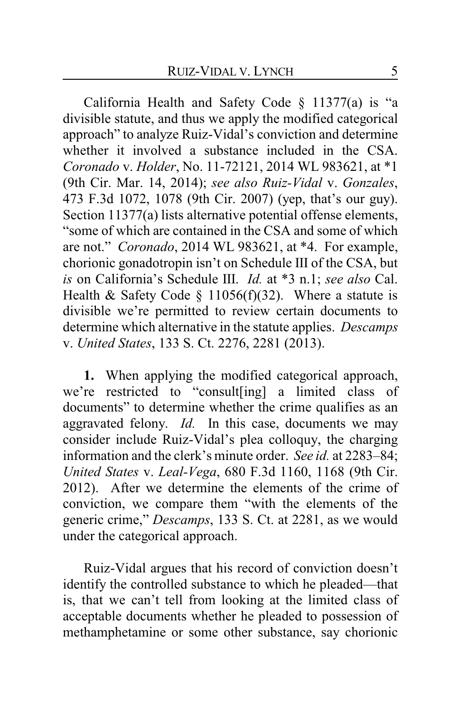California Health and Safety Code § 11377(a) is "a divisible statute, and thus we apply the modified categorical approach" to analyze Ruiz-Vidal's conviction and determine whether it involved a substance included in the CSA. *Coronado* v. *Holder*, No. 11-72121, 2014 WL 983621, at \*1 (9th Cir. Mar. 14, 2014); *see also Ruiz-Vidal* v. *Gonzales*, 473 F.3d 1072, 1078 (9th Cir. 2007) (yep, that's our guy). Section 11377(a) lists alternative potential offense elements, "some of which are contained in the CSA and some of which are not." *Coronado*, 2014 WL 983621, at \*4. For example, chorionic gonadotropin isn't on Schedule III of the CSA, but *is* on California's Schedule III. *Id.* at \*3 n.1; *see also* Cal. Health & Safety Code  $\S$  11056(f)(32). Where a statute is divisible we're permitted to review certain documents to determine which alternative in the statute applies. *Descamps* v. *United States*, 133 S. Ct. 2276, 2281 (2013).

**1.** When applying the modified categorical approach, we're restricted to "consult[ing] a limited class of documents" to determine whether the crime qualifies as an aggravated felony. *Id.* In this case, documents we may consider include Ruiz-Vidal's plea colloquy, the charging information and the clerk's minute order. *See id.* at 2283–84; *United States* v. *Leal-Vega*, 680 F.3d 1160, 1168 (9th Cir. 2012). After we determine the elements of the crime of conviction, we compare them "with the elements of the generic crime," *Descamps*, 133 S. Ct. at 2281, as we would under the categorical approach.

Ruiz-Vidal argues that his record of conviction doesn't identify the controlled substance to which he pleaded—that is, that we can't tell from looking at the limited class of acceptable documents whether he pleaded to possession of methamphetamine or some other substance, say chorionic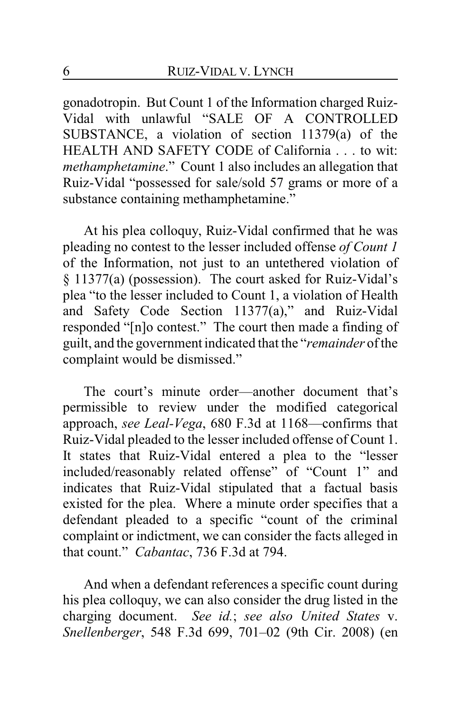gonadotropin. But Count 1 of the Information charged Ruiz-Vidal with unlawful "SALE OF A CONTROLLED SUBSTANCE, a violation of section 11379(a) of the HEALTH AND SAFETY CODE of California . . . to wit: *methamphetamine*." Count 1 also includes an allegation that Ruiz-Vidal "possessed for sale/sold 57 grams or more of a substance containing methamphetamine."

At his plea colloquy, Ruiz-Vidal confirmed that he was pleading no contest to the lesser included offense *of Count 1* of the Information, not just to an untethered violation of § 11377(a) (possession). The court asked for Ruiz-Vidal's plea "to the lesser included to Count 1, a violation of Health and Safety Code Section 11377(a)," and Ruiz-Vidal responded "[n]o contest." The court then made a finding of guilt, and the government indicated that the "*remainder* of the complaint would be dismissed."

The court's minute order—another document that's permissible to review under the modified categorical approach, *see Leal-Vega*, 680 F.3d at 1168—confirms that Ruiz-Vidal pleaded to the lesser included offense of Count 1. It states that Ruiz-Vidal entered a plea to the "lesser included/reasonably related offense" of "Count 1" and indicates that Ruiz-Vidal stipulated that a factual basis existed for the plea. Where a minute order specifies that a defendant pleaded to a specific "count of the criminal complaint or indictment, we can consider the facts alleged in that count." *Cabantac*, 736 F.3d at 794.

And when a defendant references a specific count during his plea colloquy, we can also consider the drug listed in the charging document. *See id.*; *see also United States* v. *Snellenberger*, 548 F.3d 699, 701–02 (9th Cir. 2008) (en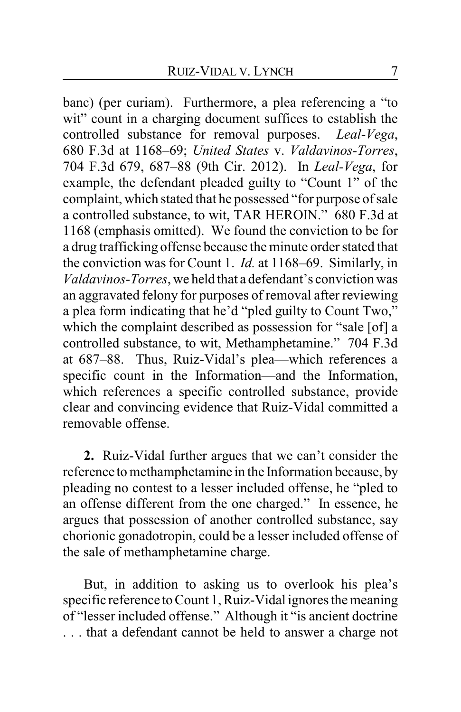banc) (per curiam). Furthermore, a plea referencing a "to wit" count in a charging document suffices to establish the controlled substance for removal purposes. *Leal-Vega*, 680 F.3d at 1168–69; *United States* v. *Valdavinos-Torres*, 704 F.3d 679, 687–88 (9th Cir. 2012). In *Leal-Vega*, for example, the defendant pleaded guilty to "Count 1" of the complaint, which stated that he possessed "for purpose of sale a controlled substance, to wit, TAR HEROIN." 680 F.3d at 1168 (emphasis omitted). We found the conviction to be for a drug trafficking offense because the minute order stated that the conviction was for Count 1. *Id.* at 1168–69. Similarly, in *Valdavinos-Torres*, we held that a defendant's conviction was an aggravated felony for purposes of removal after reviewing a plea form indicating that he'd "pled guilty to Count Two," which the complaint described as possession for "sale [of] a controlled substance, to wit, Methamphetamine." 704 F.3d at 687–88. Thus, Ruiz-Vidal's plea—which references a specific count in the Information—and the Information, which references a specific controlled substance, provide clear and convincing evidence that Ruiz-Vidal committed a removable offense.

**2.** Ruiz-Vidal further argues that we can't consider the reference to methamphetamine in the Information because, by pleading no contest to a lesser included offense, he "pled to an offense different from the one charged." In essence, he argues that possession of another controlled substance, say chorionic gonadotropin, could be a lesser included offense of the sale of methamphetamine charge.

But, in addition to asking us to overlook his plea's specific reference to Count 1, Ruiz-Vidal ignores the meaning of "lesser included offense." Although it "is ancient doctrine . . . that a defendant cannot be held to answer a charge not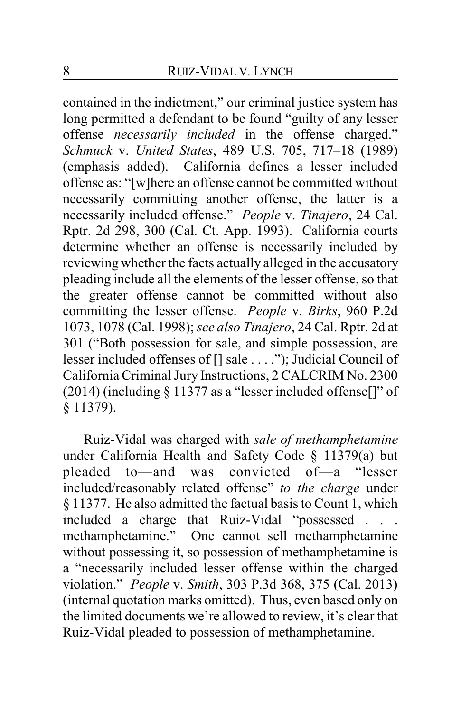contained in the indictment," our criminal justice system has long permitted a defendant to be found "guilty of any lesser offense *necessarily included* in the offense charged." *Schmuck* v. *United States*, 489 U.S. 705, 717–18 (1989) (emphasis added). California defines a lesser included offense as: "[w]here an offense cannot be committed without necessarily committing another offense, the latter is a necessarily included offense." *People* v. *Tinajero*, 24 Cal. Rptr. 2d 298, 300 (Cal. Ct. App. 1993). California courts determine whether an offense is necessarily included by reviewing whether the facts actually alleged in the accusatory pleading include all the elements of the lesser offense, so that the greater offense cannot be committed without also committing the lesser offense. *People* v. *Birks*, 960 P.2d 1073, 1078 (Cal. 1998); *see also Tinajero*, 24 Cal. Rptr. 2d at 301 ("Both possession for sale, and simple possession, are lesser included offenses of [] sale . . . ."); Judicial Council of California Criminal Jury Instructions, 2 CALCRIM No. 2300 (2014) (including  $\S 11377$  as a "lesser included offense.[]" of § 11379).

Ruiz-Vidal was charged with *sale of methamphetamine* under California Health and Safety Code § 11379(a) but pleaded to—and was convicted of—a "lesser included/reasonably related offense" *to the charge* under § 11377. He also admitted the factual basis to Count 1, which included a charge that Ruiz-Vidal "possessed . . . methamphetamine." One cannot sell methamphetamine without possessing it, so possession of methamphetamine is a "necessarily included lesser offense within the charged violation." *People* v. *Smith*, 303 P.3d 368, 375 (Cal. 2013) (internal quotation marks omitted). Thus, even based only on the limited documents we're allowed to review, it's clear that Ruiz-Vidal pleaded to possession of methamphetamine.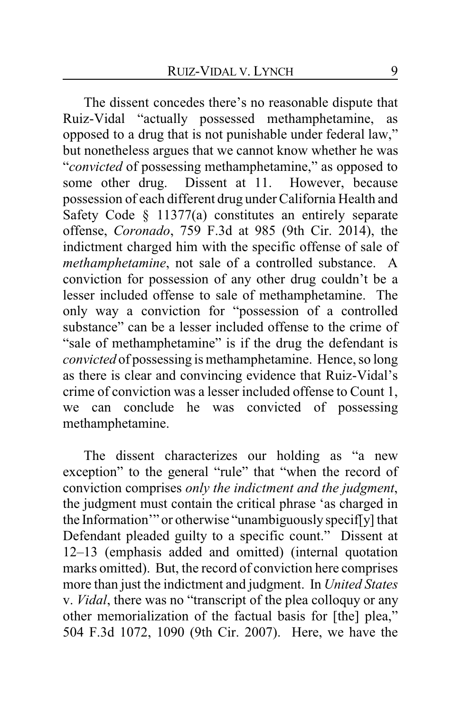The dissent concedes there's no reasonable dispute that Ruiz-Vidal "actually possessed methamphetamine, as opposed to a drug that is not punishable under federal law," but nonetheless argues that we cannot know whether he was "*convicted* of possessing methamphetamine," as opposed to some other drug. Dissent at 11. However, because possession of each different drug under California Health and Safety Code § 11377(a) constitutes an entirely separate offense, *Coronado*, 759 F.3d at 985 (9th Cir. 2014), the indictment charged him with the specific offense of sale of *methamphetamine*, not sale of a controlled substance. A conviction for possession of any other drug couldn't be a lesser included offense to sale of methamphetamine. The only way a conviction for "possession of a controlled substance" can be a lesser included offense to the crime of "sale of methamphetamine" is if the drug the defendant is *convicted* of possessing is methamphetamine. Hence, so long as there is clear and convincing evidence that Ruiz-Vidal's crime of conviction was a lesser included offense to Count 1, we can conclude he was convicted of possessing methamphetamine.

The dissent characterizes our holding as "a new exception" to the general "rule" that "when the record of conviction comprises *only the indictment and the judgment*, the judgment must contain the critical phrase 'as charged in the Information'" or otherwise "unambiguously specif[y] that Defendant pleaded guilty to a specific count." Dissent at 12–13 (emphasis added and omitted) (internal quotation marks omitted). But, the record of conviction here comprises more than just the indictment and judgment. In *United States* v. *Vidal*, there was no "transcript of the plea colloquy or any other memorialization of the factual basis for [the] plea," 504 F.3d 1072, 1090 (9th Cir. 2007). Here, we have the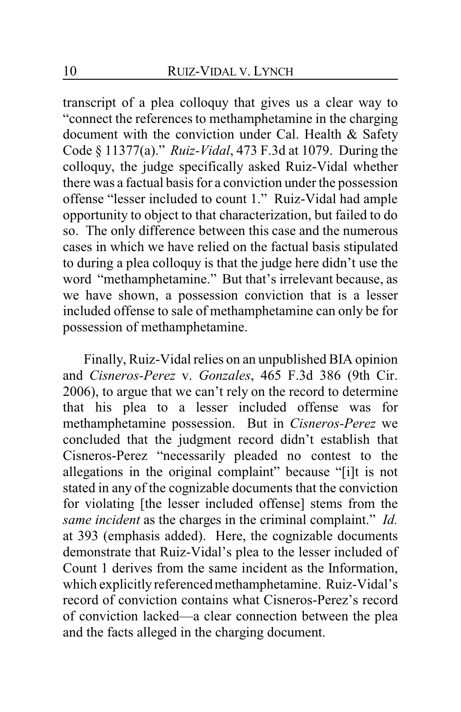transcript of a plea colloquy that gives us a clear way to "connect the references to methamphetamine in the charging document with the conviction under Cal. Health & Safety Code § 11377(a)." *Ruiz-Vidal*, 473 F.3d at 1079. During the colloquy, the judge specifically asked Ruiz-Vidal whether there was a factual basis for a conviction under the possession offense "lesser included to count 1." Ruiz-Vidal had ample opportunity to object to that characterization, but failed to do so. The only difference between this case and the numerous cases in which we have relied on the factual basis stipulated to during a plea colloquy is that the judge here didn't use the word "methamphetamine." But that's irrelevant because, as we have shown, a possession conviction that is a lesser included offense to sale of methamphetamine can only be for possession of methamphetamine.

Finally, Ruiz-Vidal relies on an unpublished BIA opinion and *Cisneros-Perez* v. *Gonzales*, 465 F.3d 386 (9th Cir. 2006), to argue that we can't rely on the record to determine that his plea to a lesser included offense was for methamphetamine possession. But in *Cisneros-Perez* we concluded that the judgment record didn't establish that Cisneros-Perez "necessarily pleaded no contest to the allegations in the original complaint" because "[i]t is not stated in any of the cognizable documents that the conviction for violating [the lesser included offense] stems from the *same incident* as the charges in the criminal complaint." *Id.* at 393 (emphasis added). Here, the cognizable documents demonstrate that Ruiz-Vidal's plea to the lesser included of Count 1 derives from the same incident as the Information, which explicitly referenced methamphetamine. Ruiz-Vidal's record of conviction contains what Cisneros-Perez's record of conviction lacked—a clear connection between the plea and the facts alleged in the charging document.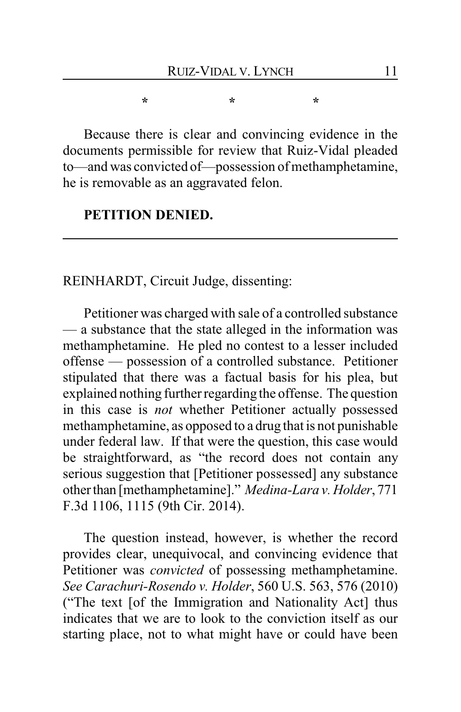**\* \* \***

Because there is clear and convincing evidence in the documents permissible for review that Ruiz-Vidal pleaded to—and was convicted of—possession of methamphetamine, he is removable as an aggravated felon.

## **PETITION DENIED.**

REINHARDT, Circuit Judge, dissenting:

Petitioner was charged with sale of a controlled substance — a substance that the state alleged in the information was methamphetamine. He pled no contest to a lesser included offense — possession of a controlled substance. Petitioner stipulated that there was a factual basis for his plea, but explained nothing further regarding the offense. The question in this case is *not* whether Petitioner actually possessed methamphetamine, as opposed to a drug that is not punishable under federal law. If that were the question, this case would be straightforward, as "the record does not contain any serious suggestion that [Petitioner possessed] any substance other than [methamphetamine]." *Medina-Lara v. Holder*, 771 F.3d 1106, 1115 (9th Cir. 2014).

The question instead, however, is whether the record provides clear, unequivocal, and convincing evidence that Petitioner was *convicted* of possessing methamphetamine. *See Carachuri-Rosendo v. Holder*, 560 U.S. 563, 576 (2010) ("The text [of the Immigration and Nationality Act] thus indicates that we are to look to the conviction itself as our starting place, not to what might have or could have been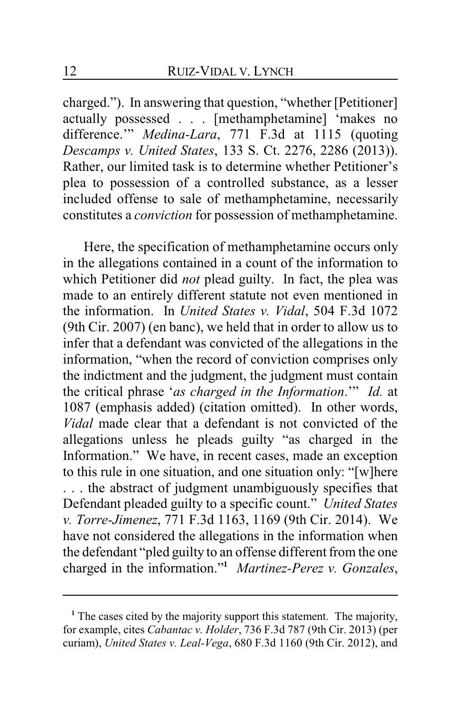charged."). In answering that question, "whether [Petitioner] actually possessed . . . [methamphetamine] 'makes no difference.'" *Medina-Lara*, 771 F.3d at 1115 (quoting *Descamps v. United States*, 133 S. Ct. 2276, 2286 (2013)). Rather, our limited task is to determine whether Petitioner's plea to possession of a controlled substance, as a lesser included offense to sale of methamphetamine, necessarily constitutes a *conviction* for possession of methamphetamine.

Here, the specification of methamphetamine occurs only in the allegations contained in a count of the information to which Petitioner did *not* plead guilty. In fact, the plea was made to an entirely different statute not even mentioned in the information. In *United States v. Vidal*, 504 F.3d 1072 (9th Cir. 2007) (en banc), we held that in order to allow us to infer that a defendant was convicted of the allegations in the information, "when the record of conviction comprises only the indictment and the judgment, the judgment must contain the critical phrase '*as charged in the Information*.'" *Id.* at 1087 (emphasis added) (citation omitted). In other words, *Vidal* made clear that a defendant is not convicted of the allegations unless he pleads guilty "as charged in the Information." We have, in recent cases, made an exception to this rule in one situation, and one situation only: "[w]here . . . the abstract of judgment unambiguously specifies that Defendant pleaded guilty to a specific count." *United States v. Torre-Jimenez*, 771 F.3d 1163, 1169 (9th Cir. 2014). We have not considered the allegations in the information when the defendant "pled guilty to an offense different from the one charged in the information."**<sup>1</sup>** *Martinez-Perez v. Gonzales*,

<sup>&</sup>lt;sup>1</sup> The cases cited by the majority support this statement. The majority, for example, cites *Cabantac v. Holder*, 736 F.3d 787 (9th Cir. 2013) (per curiam), *United States v. Leal-Vega*, 680 F.3d 1160 (9th Cir. 2012), and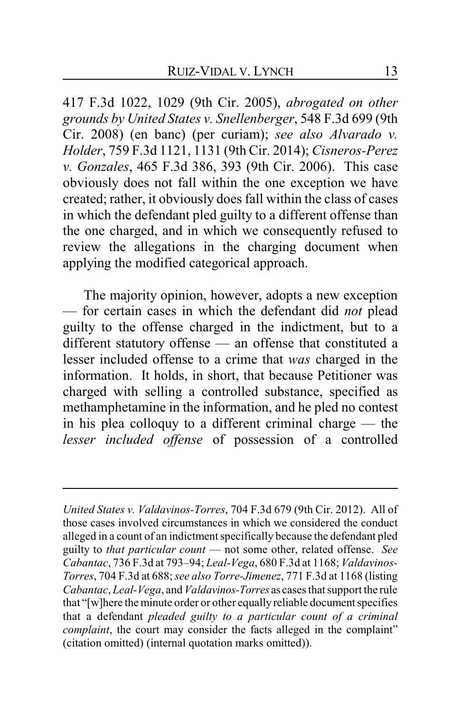417 F.3d 1022, 1029 (9th Cir. 2005), *abrogated on other grounds by United States v. Snellenberger*, 548 F.3d 699 (9th Cir. 2008) (en banc) (per curiam); *see also Alvarado v. Holder*, 759 F.3d 1121, 1131 (9th Cir. 2014); *Cisneros-Perez v. Gonzales*, 465 F.3d 386, 393 (9th Cir. 2006). This case obviously does not fall within the one exception we have created; rather, it obviously does fall within the class of cases in which the defendant pled guilty to a different offense than the one charged, and in which we consequently refused to review the allegations in the charging document when applying the modified categorical approach.

The majority opinion, however, adopts a new exception — for certain cases in which the defendant did *not* plead guilty to the offense charged in the indictment, but to a different statutory offense — an offense that constituted a lesser included offense to a crime that *was* charged in the information. It holds, in short, that because Petitioner was charged with selling a controlled substance, specified as methamphetamine in the information, and he pled no contest in his plea colloquy to a different criminal charge — the *lesser included offense* of possession of a controlled

*United States v. Valdavinos-Torres*, 704 F.3d 679 (9th Cir. 2012). All of those cases involved circumstances in which we considered the conduct alleged in a count of an indictment specifically because the defendant pled guilty to *that particular count* — not some other, related offense. *See Cabantac*, 736 F.3d at 793–94; *Leal-Vega*, 680 F.3d at 1168; *Valdavinos-Torres*, 704 F.3d at 688;*see also Torre-Jimenez*, 771 F.3d at 1168 (listing *Cabantac*, *Leal-Vega*, and*Valdavinos-Torres* as cases that support the rule that "[w]here the minute order or other equallyreliable document specifies that a defendant *pleaded guilty to a particular count of a criminal complaint*, the court may consider the facts alleged in the complaint" (citation omitted) (internal quotation marks omitted)).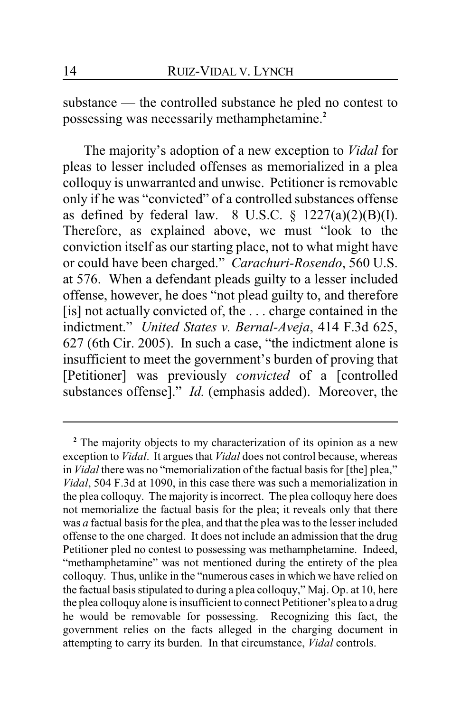substance — the controlled substance he pled no contest to possessing was necessarily methamphetamine.**<sup>2</sup>**

The majority's adoption of a new exception to *Vidal* for pleas to lesser included offenses as memorialized in a plea colloquy is unwarranted and unwise. Petitioner is removable only if he was "convicted" of a controlled substances offense as defined by federal law.  $8 \text{ U.S.C. } \frac{6}{7} \frac{1227(a)(2)(B)(I)}{2}$ . Therefore, as explained above, we must "look to the conviction itself as our starting place, not to what might have or could have been charged." *Carachuri-Rosendo*, 560 U.S. at 576. When a defendant pleads guilty to a lesser included offense, however, he does "not plead guilty to, and therefore [is] not actually convicted of, the ... charge contained in the indictment." *United States v. Bernal-Aveja*, 414 F.3d 625, 627 (6th Cir. 2005). In such a case, "the indictment alone is insufficient to meet the government's burden of proving that [Petitioner] was previously *convicted* of a [controlled substances offense]." *Id.* (emphasis added). Moreover, the

**<sup>2</sup>** The majority objects to my characterization of its opinion as a new exception to *Vidal*. It argues that *Vidal* does not control because, whereas in *Vidal* there was no "memorialization of the factual basis for [the] plea," *Vidal*, 504 F.3d at 1090, in this case there was such a memorialization in the plea colloquy. The majority is incorrect. The plea colloquy here does not memorialize the factual basis for the plea; it reveals only that there was *a* factual basis for the plea, and that the plea was to the lesser included offense to the one charged. It does not include an admission that the drug Petitioner pled no contest to possessing was methamphetamine. Indeed, "methamphetamine" was not mentioned during the entirety of the plea colloquy. Thus, unlike in the "numerous cases in which we have relied on the factual basis stipulated to during a plea colloquy," Maj. Op. at 10, here the plea colloquy alone is insufficient to connect Petitioner's plea to a drug he would be removable for possessing. Recognizing this fact, the government relies on the facts alleged in the charging document in attempting to carry its burden. In that circumstance, *Vidal* controls.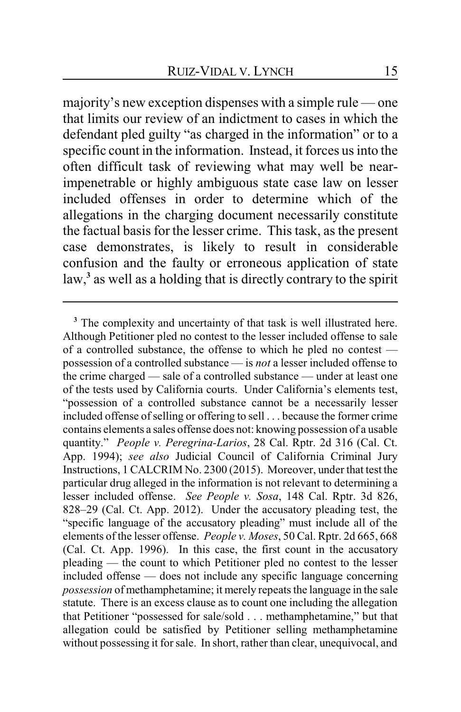majority's new exception dispenses with a simple rule — one that limits our review of an indictment to cases in which the defendant pled guilty "as charged in the information" or to a specific count in the information. Instead, it forces us into the often difficult task of reviewing what may well be nearimpenetrable or highly ambiguous state case law on lesser included offenses in order to determine which of the allegations in the charging document necessarily constitute the factual basis for the lesser crime. This task, as the present case demonstrates, is likely to result in considerable confusion and the faulty or erroneous application of state law,**<sup>3</sup>** as well as a holding that is directly contrary to the spirit

**<sup>3</sup>** The complexity and uncertainty of that task is well illustrated here. Although Petitioner pled no contest to the lesser included offense to sale of a controlled substance, the offense to which he pled no contest possession of a controlled substance — is *not* a lesser included offense to the crime charged — sale of a controlled substance — under at least one of the tests used by California courts. Under California's elements test, "possession of a controlled substance cannot be a necessarily lesser included offense ofselling or offering to sell . . . because the former crime contains elements a sales offense does not: knowing possession of a usable quantity." *People v. Peregrina-Larios*, 28 Cal. Rptr. 2d 316 (Cal. Ct. App. 1994); *see also* Judicial Council of California Criminal Jury Instructions, 1 CALCRIM No. 2300 (2015). Moreover, under that test the particular drug alleged in the information is not relevant to determining a lesser included offense. *See People v. Sosa*, 148 Cal. Rptr. 3d 826, 828–29 (Cal. Ct. App. 2012). Under the accusatory pleading test, the "specific language of the accusatory pleading" must include all of the elements of the lesser offense. *People v. Moses*, 50 Cal. Rptr. 2d 665, 668 (Cal. Ct. App. 1996). In this case, the first count in the accusatory pleading — the count to which Petitioner pled no contest to the lesser included offense — does not include any specific language concerning *possession* of methamphetamine; it merely repeats the language in the sale statute. There is an excess clause as to count one including the allegation that Petitioner "possessed for sale/sold . . . methamphetamine," but that allegation could be satisfied by Petitioner selling methamphetamine without possessing it for sale. In short, rather than clear, unequivocal, and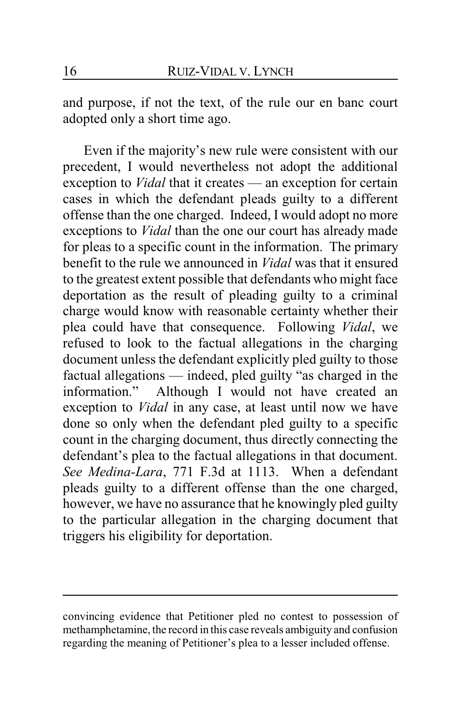and purpose, if not the text, of the rule our en banc court adopted only a short time ago.

Even if the majority's new rule were consistent with our precedent, I would nevertheless not adopt the additional exception to *Vidal* that it creates — an exception for certain cases in which the defendant pleads guilty to a different offense than the one charged. Indeed, I would adopt no more exceptions to *Vidal* than the one our court has already made for pleas to a specific count in the information. The primary benefit to the rule we announced in *Vidal* was that it ensured to the greatest extent possible that defendants who might face deportation as the result of pleading guilty to a criminal charge would know with reasonable certainty whether their plea could have that consequence. Following *Vidal*, we refused to look to the factual allegations in the charging document unless the defendant explicitly pled guilty to those factual allegations — indeed, pled guilty "as charged in the information." Although I would not have created an exception to *Vidal* in any case, at least until now we have done so only when the defendant pled guilty to a specific count in the charging document, thus directly connecting the defendant's plea to the factual allegations in that document. *See Medina-Lara*, 771 F.3d at 1113. When a defendant pleads guilty to a different offense than the one charged, however, we have no assurance that he knowingly pled guilty to the particular allegation in the charging document that triggers his eligibility for deportation.

convincing evidence that Petitioner pled no contest to possession of methamphetamine, the record in this case reveals ambiguity and confusion regarding the meaning of Petitioner's plea to a lesser included offense.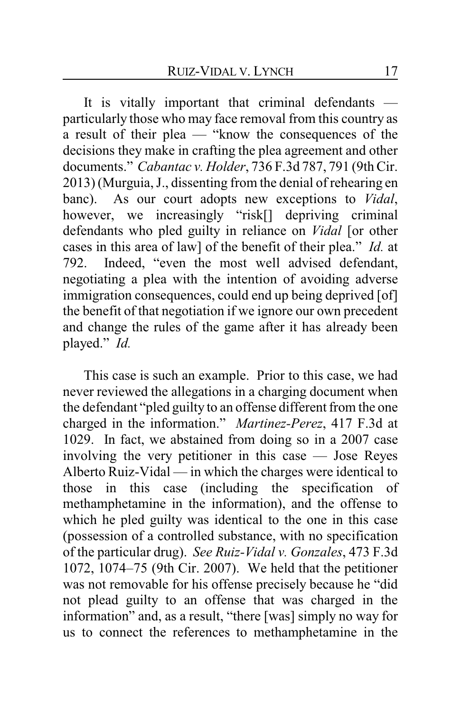It is vitally important that criminal defendants particularly those who may face removal from this country as a result of their plea — "know the consequences of the decisions they make in crafting the plea agreement and other documents." *Cabantac v. Holder*, 736 F.3d 787, 791 (9th Cir. 2013) (Murguia, J., dissenting from the denial of rehearing en banc). As our court adopts new exceptions to *Vidal*, however, we increasingly "risk[] depriving criminal defendants who pled guilty in reliance on *Vidal* [or other cases in this area of law] of the benefit of their plea." *Id.* at 792. Indeed, "even the most well advised defendant, negotiating a plea with the intention of avoiding adverse immigration consequences, could end up being deprived [of] the benefit of that negotiation if we ignore our own precedent and change the rules of the game after it has already been played." *Id.*

This case is such an example. Prior to this case, we had never reviewed the allegations in a charging document when the defendant "pled guilty to an offense different from the one charged in the information." *Martinez-Perez*, 417 F.3d at 1029. In fact, we abstained from doing so in a 2007 case involving the very petitioner in this case — Jose Reyes Alberto Ruiz-Vidal — in which the charges were identical to those in this case (including the specification of methamphetamine in the information), and the offense to which he pled guilty was identical to the one in this case (possession of a controlled substance, with no specification of the particular drug). *See Ruiz-Vidal v. Gonzales*, 473 F.3d 1072, 1074–75 (9th Cir. 2007). We held that the petitioner was not removable for his offense precisely because he "did not plead guilty to an offense that was charged in the information" and, as a result, "there [was] simply no way for us to connect the references to methamphetamine in the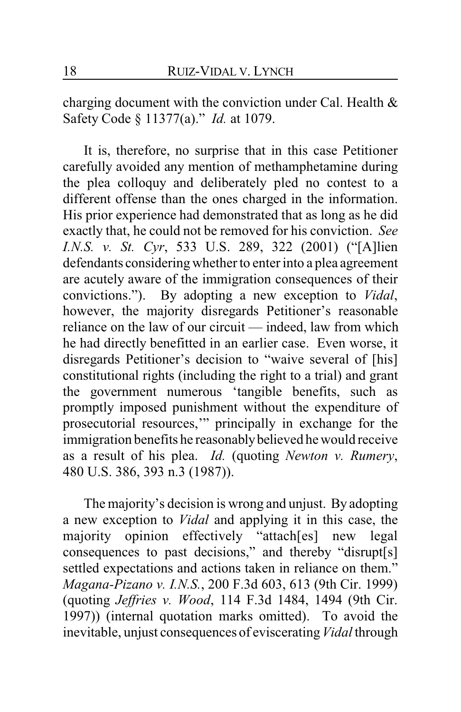charging document with the conviction under Cal. Health & Safety Code § 11377(a)." *Id.* at 1079.

It is, therefore, no surprise that in this case Petitioner carefully avoided any mention of methamphetamine during the plea colloquy and deliberately pled no contest to a different offense than the ones charged in the information. His prior experience had demonstrated that as long as he did exactly that, he could not be removed for his conviction. *See I.N.S. v. St. Cyr*, 533 U.S. 289, 322 (2001) ("[A]lien defendants considering whether to enter into a plea agreement are acutely aware of the immigration consequences of their convictions."). By adopting a new exception to *Vidal*, however, the majority disregards Petitioner's reasonable reliance on the law of our circuit — indeed, law from which he had directly benefitted in an earlier case. Even worse, it disregards Petitioner's decision to "waive several of [his] constitutional rights (including the right to a trial) and grant the government numerous 'tangible benefits, such as promptly imposed punishment without the expenditure of prosecutorial resources,'" principally in exchange for the immigration benefits he reasonably believed he would receive as a result of his plea. *Id.* (quoting *Newton v. Rumery*, 480 U.S. 386, 393 n.3 (1987)).

The majority's decision is wrong and unjust. By adopting a new exception to *Vidal* and applying it in this case, the majority opinion effectively "attach[es] new legal consequences to past decisions," and thereby "disrupt[s] settled expectations and actions taken in reliance on them." *Magana-Pizano v. I.N.S.*, 200 F.3d 603, 613 (9th Cir. 1999) (quoting *Jeffries v. Wood*, 114 F.3d 1484, 1494 (9th Cir. 1997)) (internal quotation marks omitted). To avoid the inevitable, unjust consequences of eviscerating*Vidal* through